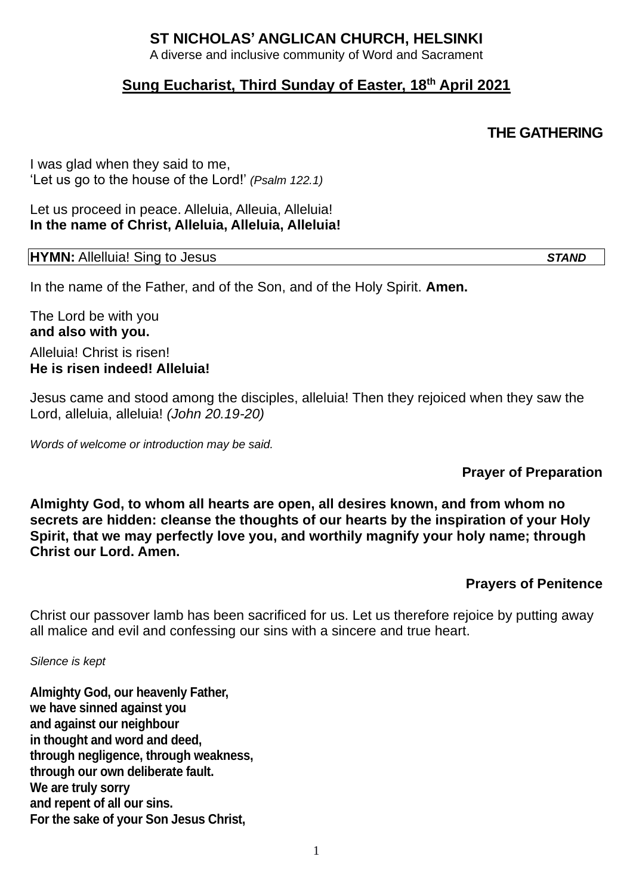# **ST NICHOLAS' ANGLICAN CHURCH, HELSINKI**

A diverse and inclusive community of Word and Sacrament

# **Sung Eucharist, Third Sunday of Easter, 18 th April 2021**

# **THE GATHERING**

I was glad when they said to me, 'Let us go to the house of the Lord!' *(Psalm 122.1)*

### Let us proceed in peace. Alleluia, Alleuia, Alleluia! **In the name of Christ, Alleluia, Alleluia, Alleluia!**

**HYMN:** Allelluia! Sing to Jesus *STAND*

In the name of the Father, and of the Son, and of the Holy Spirit. **Amen.**

The Lord be with you **and also with you.** Alleluia! Christ is risen! **He is risen indeed! Alleluia!**

Jesus came and stood among the disciples, alleluia! Then they rejoiced when they saw the Lord, alleluia, alleluia! *(John 20.19-20)*

*Words of welcome or introduction may be said.*

**Prayer of Preparation**

**Almighty God, to whom all hearts are open, all desires known, and from whom no secrets are hidden: cleanse the thoughts of our hearts by the inspiration of your Holy Spirit, that we may perfectly love you, and worthily magnify your holy name; through Christ our Lord. Amen.**

## **Prayers of Penitence**

Christ our passover lamb has been sacrificed for us. Let us therefore rejoice by putting away all malice and evil and confessing our sins with a sincere and true heart.

*Silence is kept*

**Almighty God, our heavenly Father, we have sinned against you and against our neighbour in thought and word and deed, through negligence, through weakness, through our own deliberate fault. We are truly sorry and repent of all our sins. For the sake of your Son Jesus Christ,**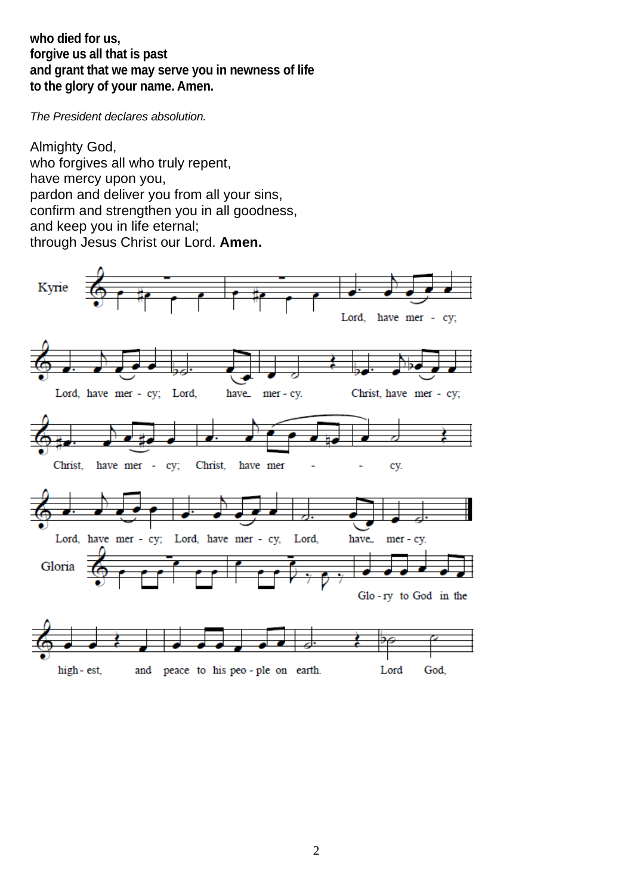#### **who died for us, forgive us all that is past and grant that we may serve you in newness of life to the glory of your name. Amen.**

*The President declares absolution.*

Almighty God, who forgives all who truly repent, have mercy upon you, pardon and deliver you from all your sins, confirm and strengthen you in all goodness, and keep you in life eternal; through Jesus Christ our Lord. **Amen.**

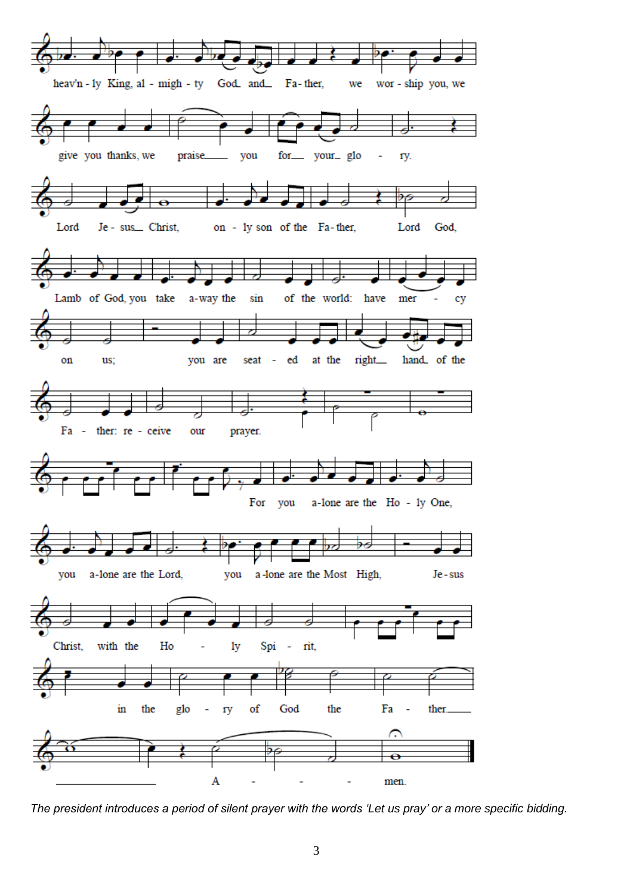

*The president introduces a period of silent prayer with the words 'Let us pray' or a more specific bidding.*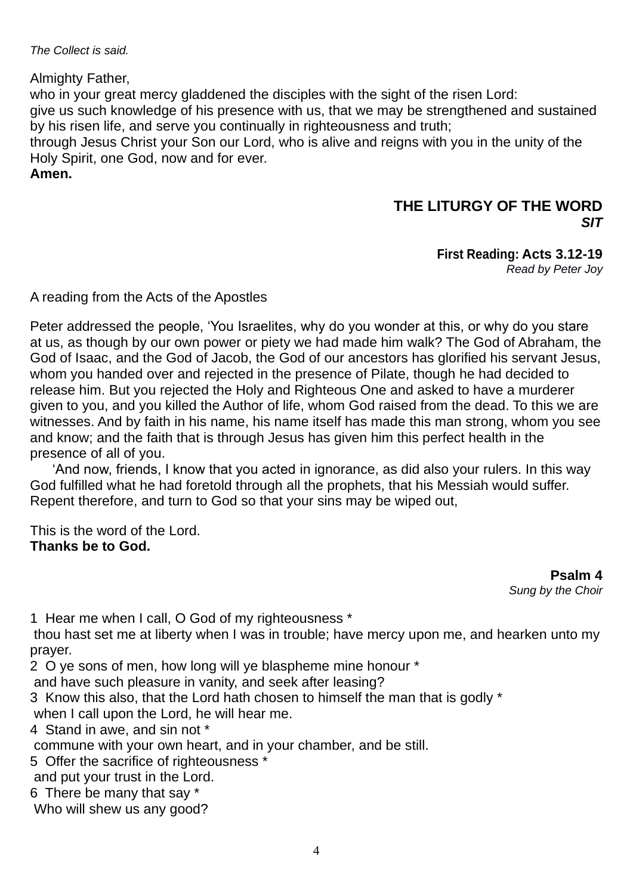#### *The Collect is said.*

Almighty Father,

who in your great mercy gladdened the disciples with the sight of the risen Lord: give us such knowledge of his presence with us, that we may be strengthened and sustained by his risen life, and serve you continually in righteousness and truth; through Jesus Christ your Son our Lord, who is alive and reigns with you in the unity of the Holy Spirit, one God, now and for ever. **Amen.** 

## **THE LITURGY OF THE WORD** *SIT*

# **First Reading: Acts 3.12-19**

*Read by Peter Joy*

A reading from the Acts of the Apostles

Peter addressed the people, 'You Israelites, why do you wonder at this, or why do you stare at us, as though by our own power or piety we had made him walk? The God of Abraham, the God of Isaac, and the God of Jacob, the God of our ancestors has glorified his servant Jesus, whom you handed over and rejected in the presence of Pilate, though he had decided to release him. But you rejected the Holy and Righteous One and asked to have a murderer given to you, and you killed the Author of life, whom God raised from the dead. To this we are witnesses. And by faith in his name, his name itself has made this man strong, whom you see and know; and the faith that is through Jesus has given him this perfect health in the presence of all of you.

'And now, friends, I know that you acted in ignorance, as did also your rulers. In this way God fulfilled what he had foretold through all the prophets, that his Messiah would suffer. Repent therefore, and turn to God so that your sins may be wiped out,

This is the word of the Lord. **Thanks be to God.**

> **Psalm 4** *Sung by the Choir*

1 Hear me when I call, O God of my righteousness \*

thou hast set me at liberty when I was in trouble; have mercy upon me, and hearken unto my prayer.

2 O ye sons of men, how long will ye blaspheme mine honour \*

and have such pleasure in vanity, and seek after leasing?

3 Know this also, that the Lord hath chosen to himself the man that is godly \*

when I call upon the Lord, he will hear me.

4 Stand in awe, and sin not \*

commune with your own heart, and in your chamber, and be still.

5 Offer the sacrifice of righteousness \*

and put your trust in the Lord.

6 There be many that say \*

Who will shew us any good?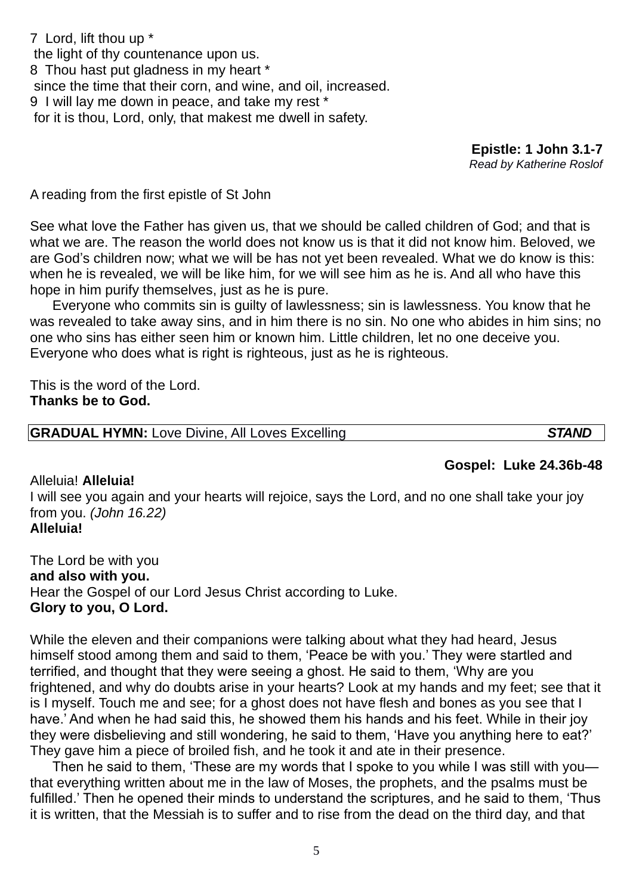7 Lord, lift thou up \*

the light of thy countenance upon us.

8 Thou hast put gladness in my heart \*

since the time that their corn, and wine, and oil, increased.

9 I will lay me down in peace, and take my rest \*

for it is thou, Lord, only, that makest me dwell in safety.

**Epistle: 1 John 3.1-7** *Read by Katherine Roslof*

A reading from the first epistle of St John

See what love the Father has given us, that we should be called children of God; and that is what we are. The reason the world does not know us is that it did not know him. Beloved, we are God's children now; what we will be has not yet been revealed. What we do know is this: when he is revealed, we will be like him, for we will see him as he is. And all who have this hope in him purify themselves, just as he is pure.

Everyone who commits sin is guilty of lawlessness; sin is lawlessness. You know that he was revealed to take away sins, and in him there is no sin. No one who abides in him sins; no one who sins has either seen him or known him. Little children, let no one deceive you. Everyone who does what is right is righteous, just as he is righteous.

This is the word of the Lord. **Thanks be to God.**

| <b>GRADUAL HYMN:</b> Love Divine, All Loves Excelling | <b>STAND</b> |
|-------------------------------------------------------|--------------|

#### **Gospel: Luke 24.36b-48**

Alleluia! **Alleluia!** I will see you again and your hearts will rejoice, says the Lord, and no one shall take your joy from you. *(John 16.22)* **Alleluia!**

The Lord be with you **and also with you.** Hear the Gospel of our Lord Jesus Christ according to Luke. **Glory to you, O Lord.**

While the eleven and their companions were talking about what they had heard, Jesus himself stood among them and said to them, 'Peace be with you.' They were startled and terrified, and thought that they were seeing a ghost. He said to them, 'Why are you frightened, and why do doubts arise in your hearts? Look at my hands and my feet; see that it is I myself. Touch me and see; for a ghost does not have flesh and bones as you see that I have.' And when he had said this, he showed them his hands and his feet. While in their joy they were disbelieving and still wondering, he said to them, 'Have you anything here to eat?' They gave him a piece of broiled fish, and he took it and ate in their presence.

Then he said to them, 'These are my words that I spoke to you while I was still with you that everything written about me in the law of Moses, the prophets, and the psalms must be fulfilled.' Then he opened their minds to understand the scriptures, and he said to them, 'Thus it is written, that the Messiah is to suffer and to rise from the dead on the third day, and that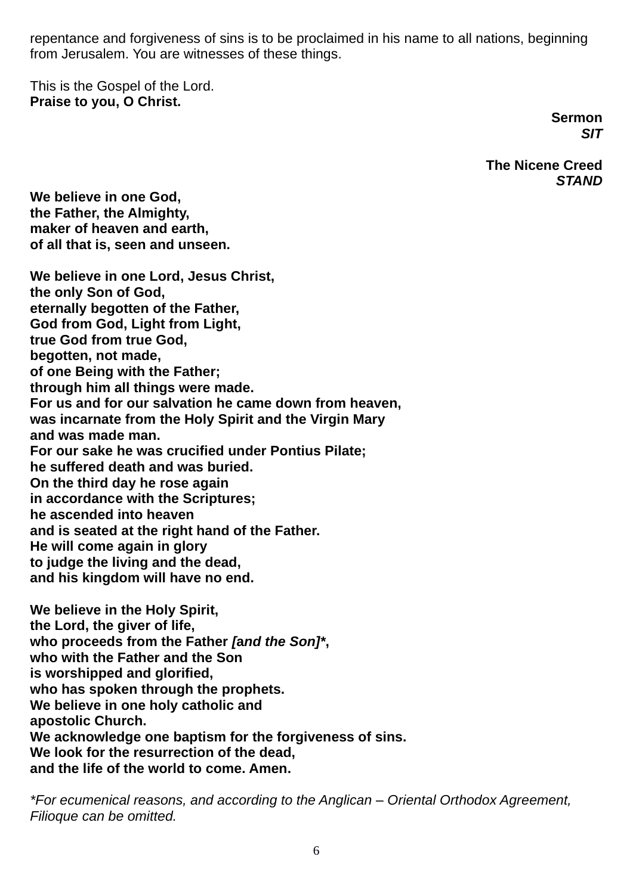repentance and forgiveness of sins is to be proclaimed in his name to all nations, beginning from Jerusalem. You are witnesses of these things.

This is the Gospel of the Lord. **Praise to you, O Christ.**

> **Sermon** *SIT*

**The Nicene Creed** *STAND*

**We believe in one God, the Father, the Almighty, maker of heaven and earth, of all that is, seen and unseen.**

**We believe in one Lord, Jesus Christ, the only Son of God, eternally begotten of the Father, God from God, Light from Light, true God from true God, begotten, not made, of one Being with the Father; through him all things were made. For us and for our salvation he came down from heaven, was incarnate from the Holy Spirit and the Virgin Mary and was made man. For our sake he was crucified under Pontius Pilate; he suffered death and was buried. On the third day he rose again in accordance with the Scriptures; he ascended into heaven and is seated at the right hand of the Father. He will come again in glory to judge the living and the dead, and his kingdom will have no end.**

**We believe in the Holy Spirit, the Lord, the giver of life, who proceeds from the Father** *[***a***nd the Son]\****, who with the Father and the Son is worshipped and glorified, who has spoken through the prophets. We believe in one holy catholic and apostolic Church. We acknowledge one baptism for the forgiveness of sins. We look for the resurrection of the dead, and the life of the world to come. Amen.** 

*\*For ecumenical reasons, and according to the Anglican – Oriental Orthodox Agreement, Filioque can be omitted.*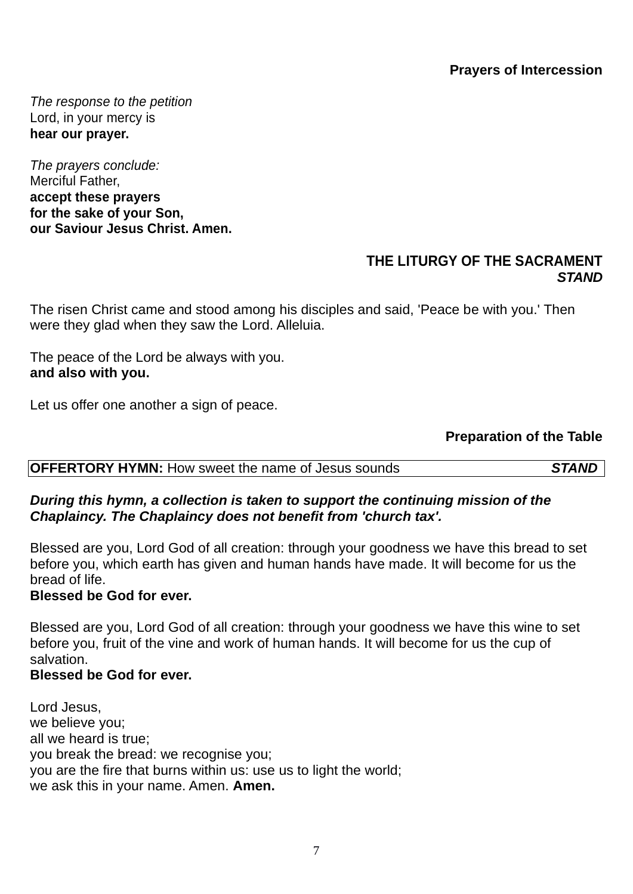*The response to the petition* Lord, in your mercy is **hear our prayer.**

*The prayers conclude:*  Merciful Father, **accept these prayers for the sake of your Son, our Saviour Jesus Christ. Amen.**

## **THE LITURGY OF THE SACRAMENT** *STAND*

The risen Christ came and stood among his disciples and said, 'Peace be with you.' Then were they glad when they saw the Lord. Alleluia.

The peace of the Lord be always with you. **and also with you.**

Let us offer one another a sign of peace.

**Preparation of the Table**

| <b>OFFERTORY HYMN:</b> How sweet the name of Jesus sounds | <b>STAND</b> |
|-----------------------------------------------------------|--------------|
|                                                           |              |

### *During this hymn, a collection is taken to support the continuing mission of the Chaplaincy. The Chaplaincy does not benefit from 'church tax'.*

Blessed are you, Lord God of all creation: through your goodness we have this bread to set before you, which earth has given and human hands have made. It will become for us the bread of life.

#### **Blessed be God for ever.**

Blessed are you, Lord God of all creation: through your goodness we have this wine to set before you, fruit of the vine and work of human hands. It will become for us the cup of salvation.

## **Blessed be God for ever.**

Lord Jesus, we believe you; all we heard is true; you break the bread: we recognise you; you are the fire that burns within us: use us to light the world; we ask this in your name. Amen. **Amen.**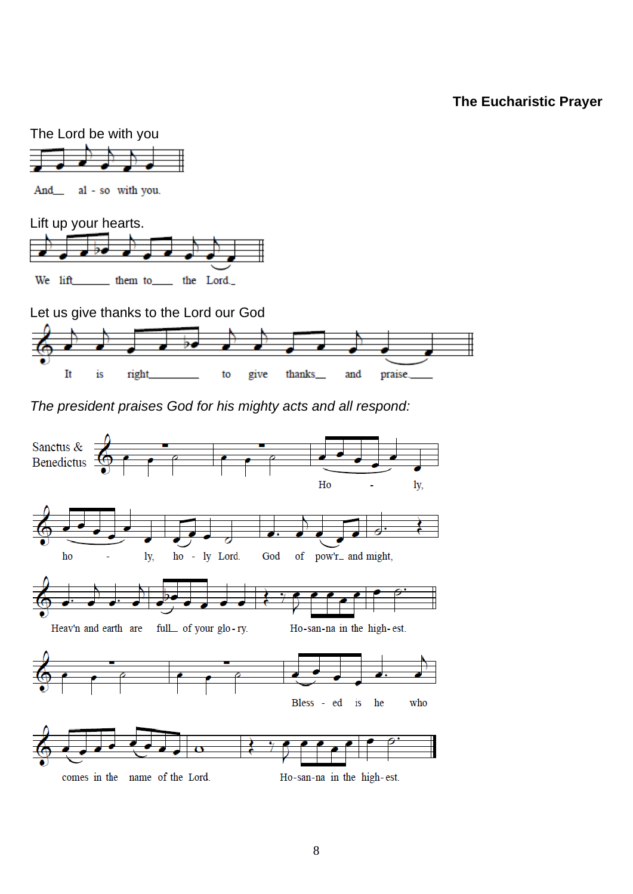### **The Eucharistic Prayer**

The Lord be with you



*The president praises God for his mighty acts and all respond:*

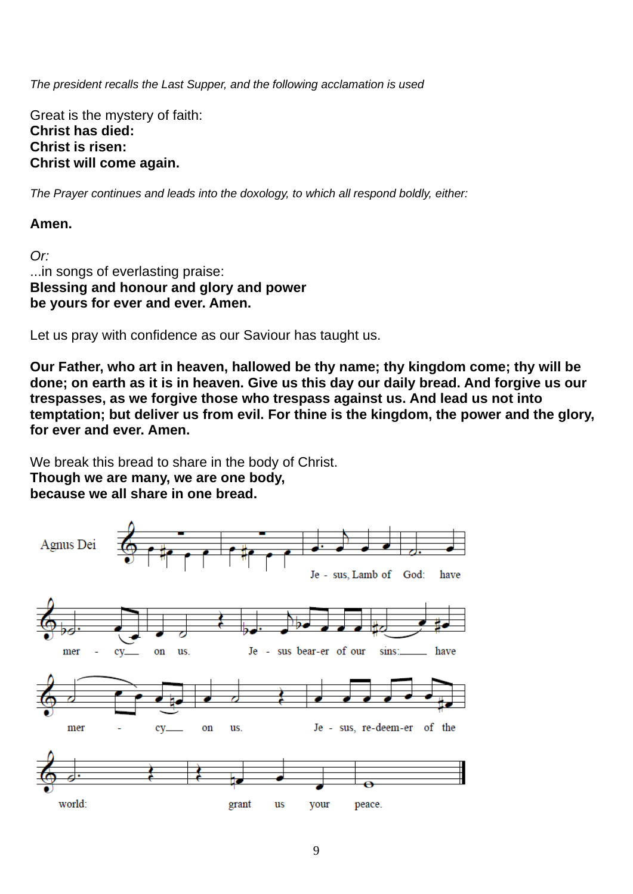*The president recalls the Last Supper, and the following acclamation is used*

Great is the mystery of faith: **Christ has died: Christ is risen: Christ will come again.**

*The Prayer continues and leads into the doxology, to which all respond boldly, either:*

#### **Amen.**

*Or:*

...in songs of everlasting praise: **Blessing and honour and glory and power be yours for ever and ever. Amen.**

Let us pray with confidence as our Saviour has taught us.

**Our Father, who art in heaven, hallowed be thy name; thy kingdom come; thy will be done; on earth as it is in heaven. Give us this day our daily bread. And forgive us our trespasses, as we forgive those who trespass against us. And lead us not into temptation; but deliver us from evil. For thine is the kingdom, the power and the glory, for ever and ever. Amen.**

We break this bread to share in the body of Christ. **Though we are many, we are one body, because we all share in one bread.**

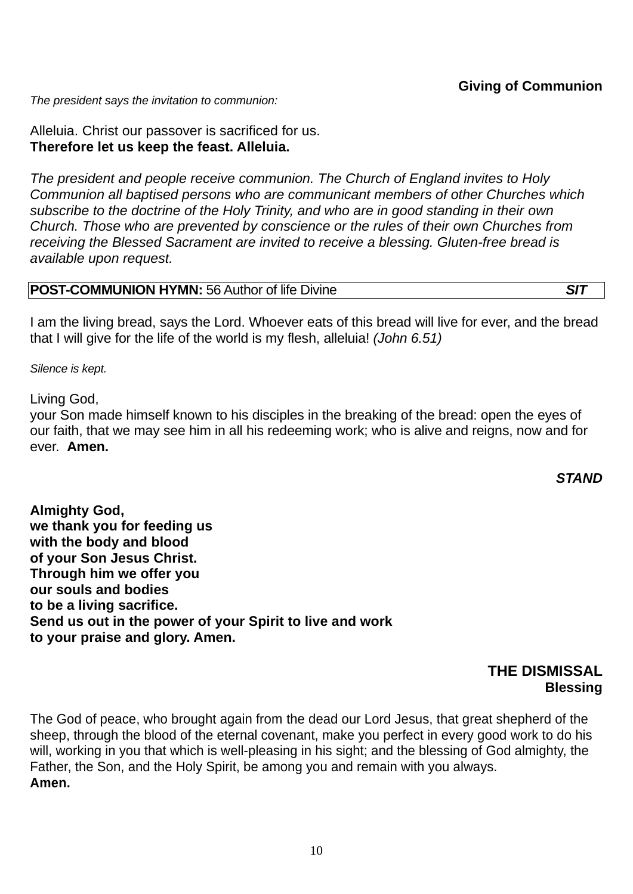*The president says the invitation to communion:*

Alleluia. Christ our passover is sacrificed for us. **Therefore let us keep the feast. Alleluia.**

*The president and people receive communion. The Church of England invites to Holy Communion all baptised persons who are communicant members of other Churches which subscribe to the doctrine of the Holy Trinity, and who are in good standing in their own Church. Those who are prevented by conscience or the rules of their own Churches from receiving the Blessed Sacrament are invited to receive a blessing. Gluten-free bread is available upon request.*

| <b>POST-COMMUNION HYMN: 56 Author of life Divine</b> | <b>S/7</b> |
|------------------------------------------------------|------------|
|                                                      |            |

I am the living bread, says the Lord. Whoever eats of this bread will live for ever, and the bread that I will give for the life of the world is my flesh, alleluia! *(John 6.51)*

*Silence is kept.*

Living God,

your Son made himself known to his disciples in the breaking of the bread: open the eyes of our faith, that we may see him in all his redeeming work; who is alive and reigns, now and for ever. **Amen.**

*STAND*

**Almighty God, we thank you for feeding us with the body and blood of your Son Jesus Christ. Through him we offer you our souls and bodies to be a living sacrifice. Send us out in the power of your Spirit to live and work to your praise and glory. Amen.** 

## **THE DISMISSAL Blessing**

The God of peace, who brought again from the dead our Lord Jesus, that great shepherd of the sheep, through the blood of the eternal covenant, make you perfect in every good work to do his will, working in you that which is well-pleasing in his sight; and the blessing of God almighty, the Father, the Son, and the Holy Spirit, be among you and remain with you always. **Amen.**